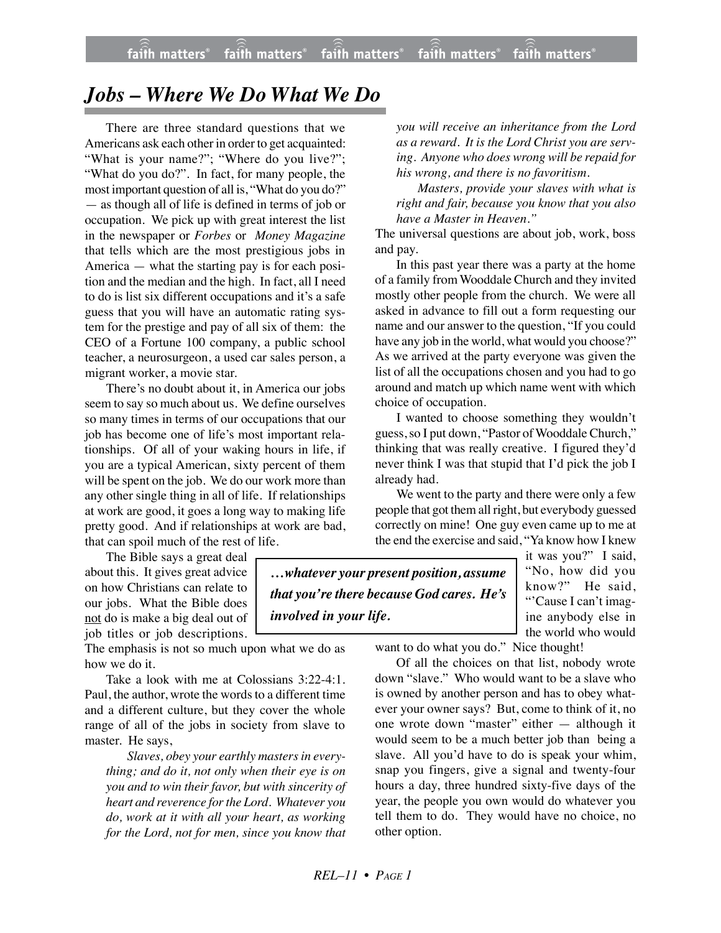## *Jobs – Where We Do What We Do*

There are three standard questions that we Americans ask each other in order to get acquainted: "What is your name?"; "Where do you live?"; "What do you do?". In fact, for many people, the most important question of all is, "What do you do?" — as though all of life is defined in terms of job or occupation. We pick up with great interest the list in the newspaper or *Forbes* or *Money Magazine* that tells which are the most prestigious jobs in America — what the starting pay is for each position and the median and the high. In fact, all I need to do is list six different occupations and it's a safe guess that you will have an automatic rating system for the prestige and pay of all six of them: the CEO of a Fortune 100 company, a public school teacher, a neurosurgeon, a used car sales person, a migrant worker, a movie star.

There's no doubt about it, in America our jobs seem to say so much about us. We define ourselves so many times in terms of our occupations that our job has become one of life's most important relationships. Of all of your waking hours in life, if you are a typical American, sixty percent of them will be spent on the job. We do our work more than any other single thing in all of life. If relationships at work are good, it goes a long way to making life pretty good. And if relationships at work are bad, that can spoil much of the rest of life.

The Bible says a great deal about this. It gives great advice on how Christians can relate to our jobs. What the Bible does not do is make a big deal out of

job titles or job descriptions.

The emphasis is not so much upon what we do as how we do it.

Take a look with me at Colossians 3:22-4:1. Paul, the author, wrote the words to a different time and a different culture, but they cover the whole range of all of the jobs in society from slave to master. He says,

*Slaves, obey your earthly masters in everything; and do it, not only when their eye is on you and to win their favor, but with sincerity of heart and reverence for the Lord. Whatever you do, work at it with all your heart, as working for the Lord, not for men, since you know that*

*you will receive an inheritance from the Lord as a reward. It is the Lord Christ you are serving. Anyone who does wrong will be repaid for his wrong, and there is no favoritism.*

*Masters, provide your slaves with what is right and fair, because you know that you also have a Master in Heaven."*

The universal questions are about job, work, boss and pay.

In this past year there was a party at the home of a family from Wooddale Church and they invited mostly other people from the church. We were all asked in advance to fill out a form requesting our name and our answer to the question, "If you could have any job in the world, what would you choose?" As we arrived at the party everyone was given the list of all the occupations chosen and you had to go around and match up which name went with which choice of occupation.

I wanted to choose something they wouldn't guess, so I put down, "Pastor of Wooddale Church," thinking that was really creative. I figured they'd never think I was that stupid that I'd pick the job I already had.

We went to the party and there were only a few people that got them all right, but everybody guessed correctly on mine! One guy even came up to me at the end the exercise and said, "Ya know how I knew

*…whatever your present position, assume that you're there because God cares. He's involved in your life.*

it was you?" I said, "No, how did you know?" He said, "'Cause I can't imagine anybody else in the world who would

want to do what you do." Nice thought!

Of all the choices on that list, nobody wrote down "slave." Who would want to be a slave who is owned by another person and has to obey whatever your owner says? But, come to think of it, no one wrote down "master" either — although it would seem to be a much better job than being a slave. All you'd have to do is speak your whim, snap you fingers, give a signal and twenty-four hours a day, three hundred sixty-five days of the year, the people you own would do whatever you tell them to do. They would have no choice, no other option.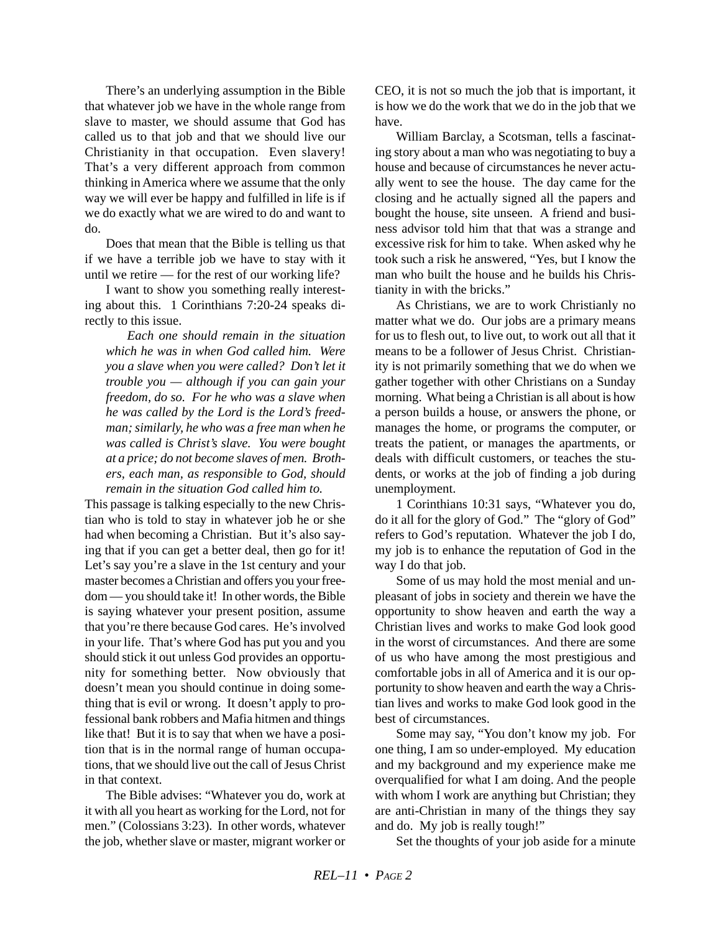There's an underlying assumption in the Bible that whatever job we have in the whole range from slave to master, we should assume that God has called us to that job and that we should live our Christianity in that occupation. Even slavery! That's a very different approach from common thinking in America where we assume that the only way we will ever be happy and fulfilled in life is if we do exactly what we are wired to do and want to do.

Does that mean that the Bible is telling us that if we have a terrible job we have to stay with it until we retire — for the rest of our working life?

I want to show you something really interesting about this. 1 Corinthians 7:20-24 speaks directly to this issue.

*Each one should remain in the situation which he was in when God called him. Were you a slave when you were called? Don't let it trouble you — although if you can gain your freedom, do so. For he who was a slave when he was called by the Lord is the Lord's freedman; similarly, he who was a free man when he was called is Christ's slave. You were bought at a price; do not become slaves of men. Brothers, each man, as responsible to God, should remain in the situation God called him to.*

This passage is talking especially to the new Christian who is told to stay in whatever job he or she had when becoming a Christian. But it's also saying that if you can get a better deal, then go for it! Let's say you're a slave in the 1st century and your master becomes a Christian and offers you your freedom — you should take it! In other words, the Bible is saying whatever your present position, assume that you're there because God cares. He's involved in your life. That's where God has put you and you should stick it out unless God provides an opportunity for something better. Now obviously that doesn't mean you should continue in doing something that is evil or wrong. It doesn't apply to professional bank robbers and Mafia hitmen and things like that! But it is to say that when we have a position that is in the normal range of human occupations, that we should live out the call of Jesus Christ in that context.

The Bible advises: "Whatever you do, work at it with all you heart as working for the Lord, not for men." (Colossians 3:23). In other words, whatever the job, whether slave or master, migrant worker or CEO, it is not so much the job that is important, it is how we do the work that we do in the job that we have.

William Barclay, a Scotsman, tells a fascinating story about a man who was negotiating to buy a house and because of circumstances he never actually went to see the house. The day came for the closing and he actually signed all the papers and bought the house, site unseen. A friend and business advisor told him that that was a strange and excessive risk for him to take. When asked why he took such a risk he answered, "Yes, but I know the man who built the house and he builds his Christianity in with the bricks."

As Christians, we are to work Christianly no matter what we do. Our jobs are a primary means for us to flesh out, to live out, to work out all that it means to be a follower of Jesus Christ. Christianity is not primarily something that we do when we gather together with other Christians on a Sunday morning. What being a Christian is all about is how a person builds a house, or answers the phone, or manages the home, or programs the computer, or treats the patient, or manages the apartments, or deals with difficult customers, or teaches the students, or works at the job of finding a job during unemployment.

1 Corinthians 10:31 says, "Whatever you do, do it all for the glory of God." The "glory of God" refers to God's reputation. Whatever the job I do, my job is to enhance the reputation of God in the way I do that job.

Some of us may hold the most menial and unpleasant of jobs in society and therein we have the opportunity to show heaven and earth the way a Christian lives and works to make God look good in the worst of circumstances. And there are some of us who have among the most prestigious and comfortable jobs in all of America and it is our opportunity to show heaven and earth the way a Christian lives and works to make God look good in the best of circumstances.

Some may say, "You don't know my job. For one thing, I am so under-employed. My education and my background and my experience make me overqualified for what I am doing. And the people with whom I work are anything but Christian; they are anti-Christian in many of the things they say and do. My job is really tough!"

Set the thoughts of your job aside for a minute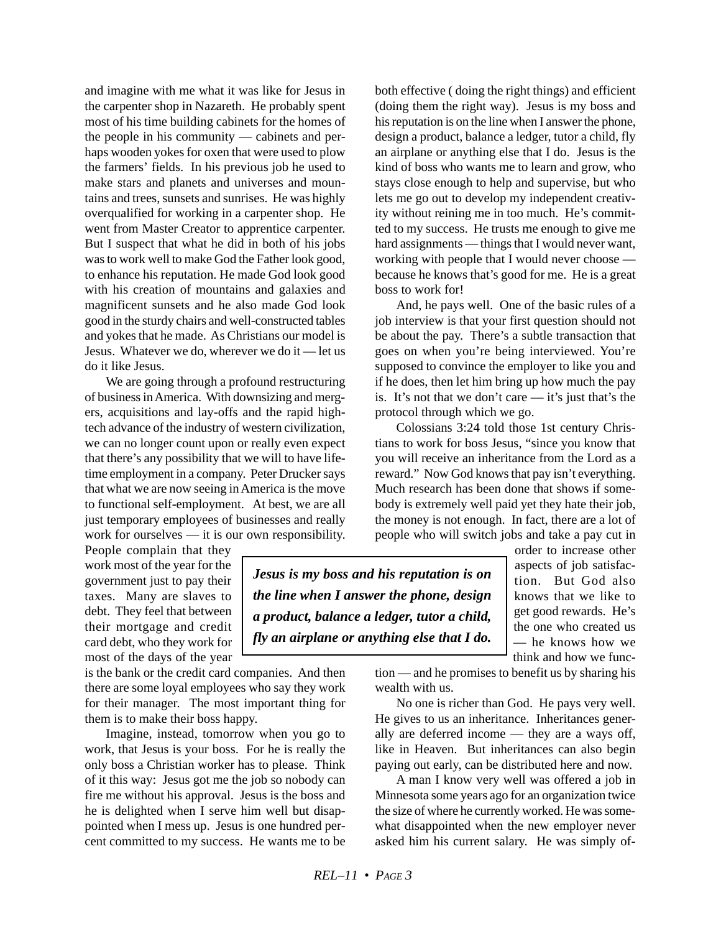and imagine with me what it was like for Jesus in the carpenter shop in Nazareth. He probably spent most of his time building cabinets for the homes of the people in his community — cabinets and perhaps wooden yokes for oxen that were used to plow the farmers' fields. In his previous job he used to make stars and planets and universes and mountains and trees, sunsets and sunrises. He was highly overqualified for working in a carpenter shop. He went from Master Creator to apprentice carpenter. But I suspect that what he did in both of his jobs was to work well to make God the Father look good, to enhance his reputation. He made God look good with his creation of mountains and galaxies and magnificent sunsets and he also made God look good in the sturdy chairs and well-constructed tables and yokes that he made. As Christians our model is Jesus. Whatever we do, wherever we do it — let us do it like Jesus.

We are going through a profound restructuring of business in America. With downsizing and mergers, acquisitions and lay-offs and the rapid hightech advance of the industry of western civilization, we can no longer count upon or really even expect that there's any possibility that we will to have lifetime employment in a company. Peter Drucker says that what we are now seeing in America is the move to functional self-employment. At best, we are all just temporary employees of businesses and really work for ourselves — it is our own responsibility.

People complain that they work most of the year for the government just to pay their taxes. Many are slaves to debt. They feel that between their mortgage and credit card debt, who they work for most of the days of the year

is the bank or the credit card companies. And then there are some loyal employees who say they work for their manager. The most important thing for them is to make their boss happy.

Imagine, instead, tomorrow when you go to work, that Jesus is your boss. For he is really the only boss a Christian worker has to please. Think of it this way: Jesus got me the job so nobody can fire me without his approval. Jesus is the boss and he is delighted when I serve him well but disappointed when I mess up. Jesus is one hundred percent committed to my success. He wants me to be both effective ( doing the right things) and efficient (doing them the right way). Jesus is my boss and his reputation is on the line when I answer the phone, design a product, balance a ledger, tutor a child, fly an airplane or anything else that I do. Jesus is the kind of boss who wants me to learn and grow, who stays close enough to help and supervise, but who lets me go out to develop my independent creativity without reining me in too much. He's committed to my success. He trusts me enough to give me hard assignments — things that I would never want, working with people that I would never choose because he knows that's good for me. He is a great boss to work for!

And, he pays well. One of the basic rules of a job interview is that your first question should not be about the pay. There's a subtle transaction that goes on when you're being interviewed. You're supposed to convince the employer to like you and if he does, then let him bring up how much the pay is. It's not that we don't care — it's just that's the protocol through which we go.

Colossians 3:24 told those 1st century Christians to work for boss Jesus, "since you know that you will receive an inheritance from the Lord as a reward." Now God knows that pay isn't everything. Much research has been done that shows if somebody is extremely well paid yet they hate their job, the money is not enough. In fact, there are a lot of people who will switch jobs and take a pay cut in

*Jesus is my boss and his reputation is on the line when I answer the phone, design a product, balance a ledger, tutor a child, fly an airplane or anything else that I do.*

order to increase other aspects of job satisfaction. But God also knows that we like to get good rewards. He's the one who created us — he knows how we think and how we func-

tion — and he promises to benefit us by sharing his wealth with us.

No one is richer than God. He pays very well. He gives to us an inheritance. Inheritances generally are deferred income — they are a ways off, like in Heaven. But inheritances can also begin paying out early, can be distributed here and now.

A man I know very well was offered a job in Minnesota some years ago for an organization twice the size of where he currently worked. He was somewhat disappointed when the new employer never asked him his current salary. He was simply of